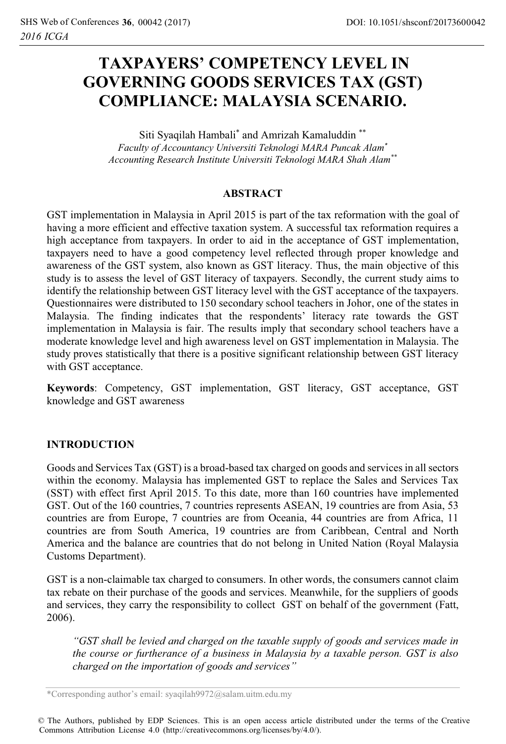# **TAXPAYERS' COMPETENCY LEVEL IN GOVERNING GOODS SERVICES TAX (GST) COMPLIANCE: MALAYSIA SCENARIO.**

Siti Syaqilah Hambali<sup>\*</sup> and Amrizah Kamaluddin<sup>\*\*</sup> *Faculty of Accountancy Universiti Teknologi MARA Puncak Alam\* Accounting Research Institute Universiti Teknologi MARA Shah Alam\*\** 

# **ABSTRACT**

GST implementation in Malaysia in April 2015 is part of the tax reformation with the goal of having a more efficient and effective taxation system. A successful tax reformation requires a high acceptance from taxpayers. In order to aid in the acceptance of GST implementation, taxpayers need to have a good competency level reflected through proper knowledge and awareness of the GST system, also known as GST literacy. Thus, the main objective of this study is to assess the level of GST literacy of taxpayers. Secondly, the current study aims to identify the relationship between GST literacy level with the GST acceptance of the taxpayers. Questionnaires were distributed to 150 secondary school teachers in Johor, one of the states in Malaysia. The finding indicates that the respondents' literacy rate towards the GST implementation in Malaysia is fair. The results imply that secondary school teachers have a moderate knowledge level and high awareness level on GST implementation in Malaysia. The study proves statistically that there is a positive significant relationship between GST literacy with GST acceptance.

**Keywords**: Competency, GST implementation, GST literacy, GST acceptance, GST knowledge and GST awareness

# **INTRODUCTION**

Goods and Services Tax (GST) is a broad-based tax charged on goods and services in all sectors within the economy. Malaysia has implemented GST to replace the Sales and Services Tax (SST) with effect first April 2015. To this date, more than 160 countries have implemented GST. Out of the 160 countries, 7 countries represents ASEAN, 19 countries are from Asia, 53 countries are from Europe, 7 countries are from Oceania, 44 countries are from Africa, 11 countries are from South America, 19 countries are from Caribbean, Central and North America and the balance are countries that do not belong in United Nation (Royal Malaysia Customs Department).

GST is a non-claimable tax charged to consumers. In other words, the consumers cannot claim tax rebate on their purchase of the goods and services. Meanwhile, for the suppliers of goods and services, they carry the responsibility to collect GST on behalf of the government (Fatt, 2006).

*"GST shall be levied and charged on the taxable supply of goods and services made in the course or furtherance of a business in Malaysia by a taxable person. GST is also charged on the importation of goods and services"* 

© The Authors, published by EDP Sciences. This is an open access article distributed under the terms of the Creative Commons Attribution License 4.0 (http://creativecommons.org/licenses/by/4.0/).

<sup>\*</sup>Corresponding author's email: syaqilah9972@salam.uitm.edu.my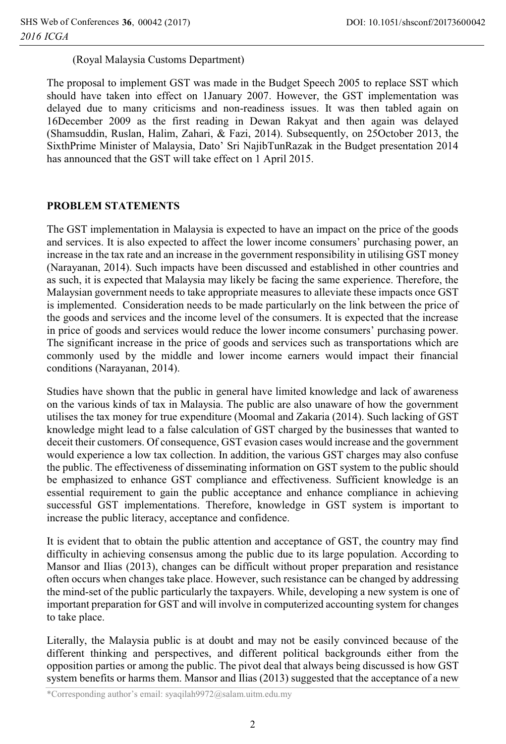(Royal Malaysia Customs Department)

The proposal to implement GST was made in the Budget Speech 2005 to replace SST which should have taken into effect on 1January 2007. However, the GST implementation was delayed due to many criticisms and non-readiness issues. It was then tabled again on 16December 2009 as the first reading in Dewan Rakyat and then again was delayed (Shamsuddin, Ruslan, Halim, Zahari, & Fazi, 2014). Subsequently, on 25October 2013, the SixthPrime Minister of Malaysia, Dato' Sri NajibTunRazak in the Budget presentation 2014 has announced that the GST will take effect on 1 April 2015.

# **PROBLEM STATEMENTS**

The GST implementation in Malaysia is expected to have an impact on the price of the goods and services. It is also expected to affect the lower income consumers' purchasing power, an increase in the tax rate and an increase in the government responsibility in utilising GST money (Narayanan, 2014). Such impacts have been discussed and established in other countries and as such, it is expected that Malaysia may likely be facing the same experience. Therefore, the Malaysian government needs to take appropriate measures to alleviate these impacts once GST is implemented. Consideration needs to be made particularly on the link between the price of the goods and services and the income level of the consumers. It is expected that the increase in price of goods and services would reduce the lower income consumers' purchasing power. The significant increase in the price of goods and services such as transportations which are commonly used by the middle and lower income earners would impact their financial conditions (Narayanan, 2014).

Studies have shown that the public in general have limited knowledge and lack of awareness on the various kinds of tax in Malaysia. The public are also unaware of how the government utilises the tax money for true expenditure (Moomal and Zakaria (2014). Such lacking of GST knowledge might lead to a false calculation of GST charged by the businesses that wanted to deceit their customers. Of consequence, GST evasion cases would increase and the government would experience a low tax collection. In addition, the various GST charges may also confuse the public. The effectiveness of disseminating information on GST system to the public should be emphasized to enhance GST compliance and effectiveness. Sufficient knowledge is an essential requirement to gain the public acceptance and enhance compliance in achieving successful GST implementations. Therefore, knowledge in GST system is important to increase the public literacy, acceptance and confidence.

It is evident that to obtain the public attention and acceptance of GST, the country may find difficulty in achieving consensus among the public due to its large population. According to Mansor and Ilias (2013), changes can be difficult without proper preparation and resistance often occurs when changes take place. However, such resistance can be changed by addressing the mind-set of the public particularly the taxpayers. While, developing a new system is one of important preparation for GST and will involve in computerized accounting system for changes to take place.

Literally, the Malaysia public is at doubt and may not be easily convinced because of the different thinking and perspectives, and different political backgrounds either from the opposition parties or among the public. The pivot deal that always being discussed is how GST system benefits or harms them. Mansor and Ilias (2013) suggested that the acceptance of a new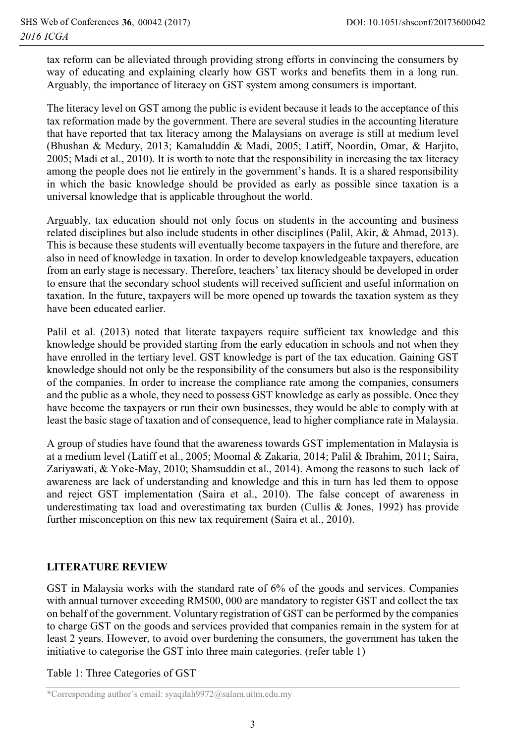tax reform can be alleviated through providing strong efforts in convincing the consumers by way of educating and explaining clearly how GST works and benefits them in a long run. Arguably, the importance of literacy on GST system among consumers is important.

The literacy level on GST among the public is evident because it leads to the acceptance of this tax reformation made by the government. There are several studies in the accounting literature that have reported that tax literacy among the Malaysians on average is still at medium level (Bhushan & Medury, 2013; Kamaluddin & Madi, 2005; Latiff, Noordin, Omar, & Harjito, 2005; Madi et al., 2010). It is worth to note that the responsibility in increasing the tax literacy among the people does not lie entirely in the government's hands. It is a shared responsibility in which the basic knowledge should be provided as early as possible since taxation is a universal knowledge that is applicable throughout the world.

Arguably, tax education should not only focus on students in the accounting and business related disciplines but also include students in other disciplines (Palil, Akir, & Ahmad, 2013). This is because these students will eventually become taxpayers in the future and therefore, are also in need of knowledge in taxation. In order to develop knowledgeable taxpayers, education from an early stage is necessary. Therefore, teachers' tax literacy should be developed in order to ensure that the secondary school students will received sufficient and useful information on taxation. In the future, taxpayers will be more opened up towards the taxation system as they have been educated earlier.

Palil et al. (2013) noted that literate taxpayers require sufficient tax knowledge and this knowledge should be provided starting from the early education in schools and not when they have enrolled in the tertiary level. GST knowledge is part of the tax education. Gaining GST knowledge should not only be the responsibility of the consumers but also is the responsibility of the companies. In order to increase the compliance rate among the companies, consumers and the public as a whole, they need to possess GST knowledge as early as possible. Once they have become the taxpayers or run their own businesses, they would be able to comply with at least the basic stage of taxation and of consequence, lead to higher compliance rate in Malaysia.

A group of studies have found that the awareness towards GST implementation in Malaysia is at a medium level (Latiff et al., 2005; Moomal & Zakaria, 2014; Palil & Ibrahim, 2011; Saira, Zariyawati, & Yoke-May, 2010; Shamsuddin et al., 2014). Among the reasons to such lack of awareness are lack of understanding and knowledge and this in turn has led them to oppose and reject GST implementation (Saira et al., 2010). The false concept of awareness in underestimating tax load and overestimating tax burden (Cullis & Jones, 1992) has provide further misconception on this new tax requirement (Saira et al., 2010).

# **LITERATURE REVIEW**

GST in Malaysia works with the standard rate of 6% of the goods and services. Companies with annual turnover exceeding RM500, 000 are mandatory to register GST and collect the tax on behalf of the government. Voluntary registration of GST can be performed by the companies to charge GST on the goods and services provided that companies remain in the system for at least 2 years. However, to avoid over burdening the consumers, the government has taken the initiative to categorise the GST into three main categories. (refer table 1)

Table 1: Three Categories of GST

<sup>\*</sup>Corresponding author's email: syaqilah9972@salam.uitm.edu.my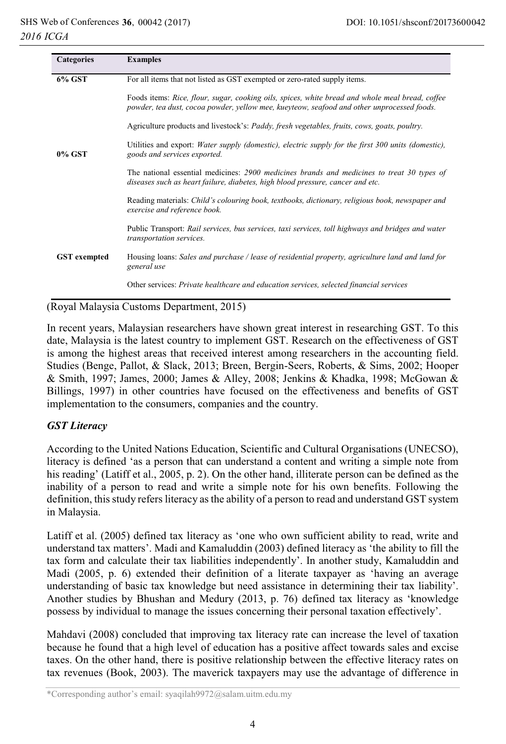| <b>Categories</b>   | <b>Examples</b>                                                                                                                                                                               |  |
|---------------------|-----------------------------------------------------------------------------------------------------------------------------------------------------------------------------------------------|--|
| 6% GST              | For all items that not listed as GST exempted or zero-rated supply items.                                                                                                                     |  |
|                     | Foods items: Rice, flour, sugar, cooking oils, spices, white bread and whole meal bread, coffee<br>powder, tea dust, cocoa powder, yellow mee, kueyteow, seafood and other unprocessed foods. |  |
|                     | Agriculture products and livestock's: Paddy, fresh vegetables, fruits, cows, goats, poultry.                                                                                                  |  |
| 0% GST              | Utilities and export: Water supply (domestic), electric supply for the first 300 units (domestic),<br>goods and services exported.                                                            |  |
|                     | The national essential medicines: 2900 medicines brands and medicines to treat 30 types of<br>diseases such as heart failure, diabetes, high blood pressure, cancer and etc.                  |  |
|                     | Reading materials: Child's colouring book, textbooks, dictionary, religious book, newspaper and<br>exercise and reference book.                                                               |  |
|                     | Public Transport: Rail services, bus services, taxi services, toll highways and bridges and water<br>transportation services.                                                                 |  |
| <b>GST</b> exempted | Housing loans: Sales and purchase / lease of residential property, agriculture land and land for<br>general use                                                                               |  |
|                     | Other services: Private healthcare and education services, selected financial services                                                                                                        |  |

(Royal Malaysia Customs Department, 2015)

In recent years, Malaysian researchers have shown great interest in researching GST. To this date, Malaysia is the latest country to implement GST. Research on the effectiveness of GST is among the highest areas that received interest among researchers in the accounting field. Studies (Benge, Pallot, & Slack, 2013; Breen, Bergin-Seers, Roberts, & Sims, 2002; Hooper & Smith, 1997; James, 2000; James & Alley, 2008; Jenkins & Khadka, 1998; McGowan & Billings, 1997) in other countries have focused on the effectiveness and benefits of GST implementation to the consumers, companies and the country.

#### *GST Literacy*

According to the United Nations Education, Scientific and Cultural Organisations (UNECSO), literacy is defined 'as a person that can understand a content and writing a simple note from his reading' (Latiff et al., 2005, p. 2). On the other hand, illiterate person can be defined as the inability of a person to read and write a simple note for his own benefits. Following the definition, this study refers literacy as the ability of a person to read and understand GST system in Malaysia.

Latiff et al. (2005) defined tax literacy as 'one who own sufficient ability to read, write and understand tax matters'. Madi and Kamaluddin (2003) defined literacy as 'the ability to fill the tax form and calculate their tax liabilities independently'. In another study, Kamaluddin and Madi (2005, p. 6) extended their definition of a literate taxpayer as 'having an average understanding of basic tax knowledge but need assistance in determining their tax liability'. Another studies by Bhushan and Medury (2013, p. 76) defined tax literacy as 'knowledge possess by individual to manage the issues concerning their personal taxation effectively'.

Mahdavi (2008) concluded that improving tax literacy rate can increase the level of taxation because he found that a high level of education has a positive affect towards sales and excise taxes. On the other hand, there is positive relationship between the effective literacy rates on tax revenues (Book, 2003). The maverick taxpayers may use the advantage of difference in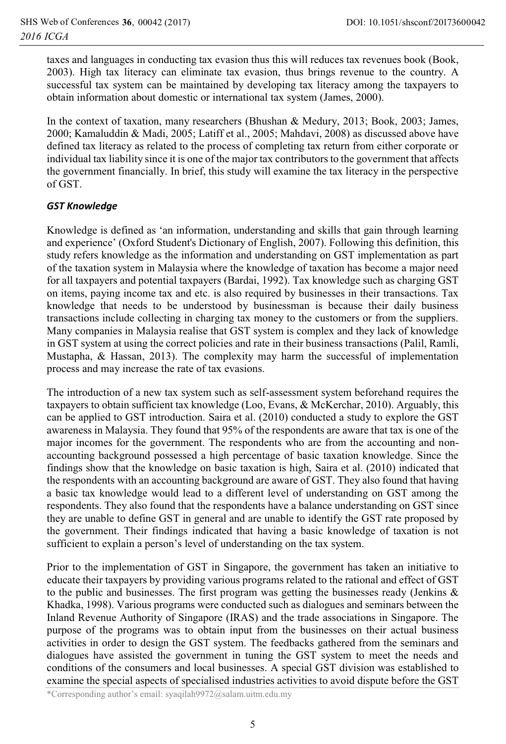taxes and languages in conducting tax evasion thus this will reduces tax revenues book (Book, 2003). High tax literacy can eliminate tax evasion, thus brings revenue to the country. A successful tax system can be maintained by developing tax literacy among the taxpayers to obtain information about domestic or international tax system (James, 2000).

In the context of taxation, many researchers (Bhushan & Medury, 2013; Book, 2003; James, 2000; Kamaluddin & Madi, 2005; Latiff et al., 2005; Mahdavi, 2008) as discussed above have defined tax literacy as related to the process of completing tax return from either corporate or individual tax liability since it is one of the major tax contributors to the government that affects the government financially. In brief, this study will examine the tax literacy in the perspective of GST.

# *GST Knowledge*

Knowledge is defined as 'an information, understanding and skills that gain through learning and experience' (Oxford Student's Dictionary of English, 2007). Following this definition, this study refers knowledge as the information and understanding on GST implementation as part of the taxation system in Malaysia where the knowledge of taxation has become a major need for all taxpayers and potential taxpayers (Bardai, 1992). Tax knowledge such as charging GST on items, paying income tax and etc. is also required by businesses in their transactions. Tax knowledge that needs to be understood by businessman is because their daily business transactions include collecting in charging tax money to the customers or from the suppliers. Many companies in Malaysia realise that GST system is complex and they lack of knowledge in GST system at using the correct policies and rate in their business transactions (Palil, Ramli, Mustapha, & Hassan, 2013). The complexity may harm the successful of implementation process and may increase the rate of tax evasions.

The introduction of a new tax system such as self-assessment system beforehand requires the taxpayers to obtain sufficient tax knowledge (Loo, Evans, & McKerchar, 2010). Arguably, this can be applied to GST introduction. Saira et al. (2010) conducted a study to explore the GST awareness in Malaysia. They found that 95% of the respondents are aware that tax is one of the major incomes for the government. The respondents who are from the accounting and nonaccounting background possessed a high percentage of basic taxation knowledge. Since the findings show that the knowledge on basic taxation is high, Saira et al. (2010) indicated that the respondents with an accounting background are aware of GST. They also found that having a basic tax knowledge would lead to a different level of understanding on GST among the respondents. They also found that the respondents have a balance understanding on GST since they are unable to define GST in general and are unable to identify the GST rate proposed by the government. Their findings indicated that having a basic knowledge of taxation is not sufficient to explain a person's level of understanding on the tax system.

Prior to the implementation of GST in Singapore, the government has taken an initiative to educate their taxpayers by providing various programs related to the rational and effect of GST to the public and businesses. The first program was getting the businesses ready (Jenkins  $\&$ Khadka, 1998). Various programs were conducted such as dialogues and seminars between the Inland Revenue Authority of Singapore (IRAS) and the trade associations in Singapore. The purpose of the programs was to obtain input from the businesses on their actual business activities in order to design the GST system. The feedbacks gathered from the seminars and dialogues have assisted the government in tuning the GST system to meet the needs and conditions of the consumers and local businesses. A special GST division was established to examine the special aspects of specialised industries activities to avoid dispute before the GST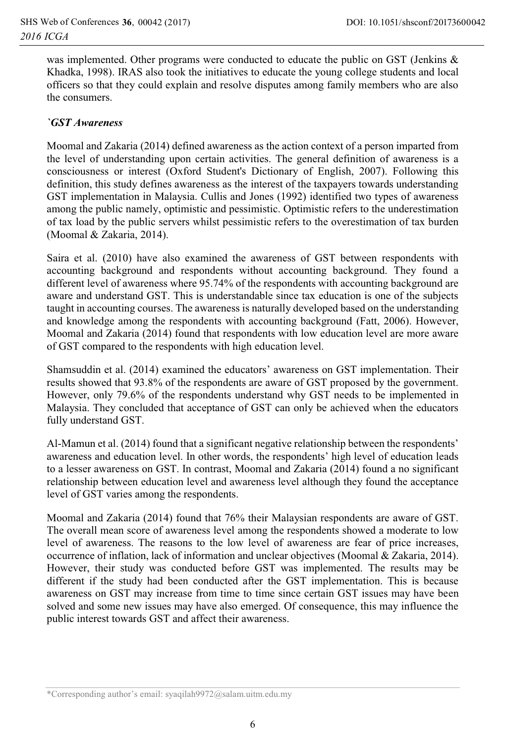was implemented. Other programs were conducted to educate the public on GST (Jenkins & Khadka, 1998). IRAS also took the initiatives to educate the young college students and local officers so that they could explain and resolve disputes among family members who are also the consumers.

# *`GST Awareness*

Moomal and Zakaria (2014) defined awareness as the action context of a person imparted from the level of understanding upon certain activities. The general definition of awareness is a consciousness or interest (Oxford Student's Dictionary of English, 2007). Following this definition, this study defines awareness as the interest of the taxpayers towards understanding GST implementation in Malaysia. Cullis and Jones (1992) identified two types of awareness among the public namely, optimistic and pessimistic. Optimistic refers to the underestimation of tax load by the public servers whilst pessimistic refers to the overestimation of tax burden (Moomal & Zakaria, 2014).

Saira et al. (2010) have also examined the awareness of GST between respondents with accounting background and respondents without accounting background. They found a different level of awareness where 95.74% of the respondents with accounting background are aware and understand GST. This is understandable since tax education is one of the subjects taught in accounting courses. The awareness is naturally developed based on the understanding and knowledge among the respondents with accounting background (Fatt, 2006). However, Moomal and Zakaria (2014) found that respondents with low education level are more aware of GST compared to the respondents with high education level.

Shamsuddin et al. (2014) examined the educators' awareness on GST implementation. Their results showed that 93.8% of the respondents are aware of GST proposed by the government. However, only 79.6% of the respondents understand why GST needs to be implemented in Malaysia. They concluded that acceptance of GST can only be achieved when the educators fully understand GST.

Al-Mamun et al. (2014) found that a significant negative relationship between the respondents' awareness and education level. In other words, the respondents' high level of education leads to a lesser awareness on GST. In contrast, Moomal and Zakaria (2014) found a no significant relationship between education level and awareness level although they found the acceptance level of GST varies among the respondents.

Moomal and Zakaria (2014) found that 76% their Malaysian respondents are aware of GST. The overall mean score of awareness level among the respondents showed a moderate to low level of awareness. The reasons to the low level of awareness are fear of price increases, occurrence of inflation, lack of information and unclear objectives (Moomal & Zakaria, 2014). However, their study was conducted before GST was implemented. The results may be different if the study had been conducted after the GST implementation. This is because awareness on GST may increase from time to time since certain GST issues may have been solved and some new issues may have also emerged. Of consequence, this may influence the public interest towards GST and affect their awareness.

<sup>\*</sup>Corresponding author's email: syaqilah9972@salam.uitm.edu.my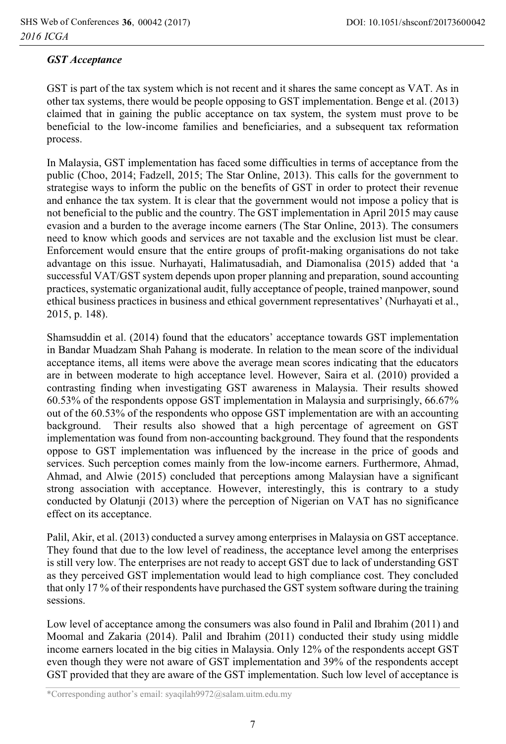# *GST Acceptance*

GST is part of the tax system which is not recent and it shares the same concept as VAT. As in other tax systems, there would be people opposing to GST implementation. Benge et al. (2013) claimed that in gaining the public acceptance on tax system, the system must prove to be beneficial to the low-income families and beneficiaries, and a subsequent tax reformation process.

In Malaysia, GST implementation has faced some difficulties in terms of acceptance from the public (Choo, 2014; Fadzell, 2015; The Star Online, 2013). This calls for the government to strategise ways to inform the public on the benefits of GST in order to protect their revenue and enhance the tax system. It is clear that the government would not impose a policy that is not beneficial to the public and the country. The GST implementation in April 2015 may cause evasion and a burden to the average income earners (The Star Online, 2013). The consumers need to know which goods and services are not taxable and the exclusion list must be clear. Enforcement would ensure that the entire groups of profit-making organisations do not take advantage on this issue. Nurhayati, Halimatusadiah, and Diamonalisa (2015) added that 'a successful VAT/GST system depends upon proper planning and preparation, sound accounting practices, systematic organizational audit, fully acceptance of people, trained manpower, sound ethical business practices in business and ethical government representatives' (Nurhayati et al., 2015, p. 148).

Shamsuddin et al. (2014) found that the educators' acceptance towards GST implementation in Bandar Muadzam Shah Pahang is moderate. In relation to the mean score of the individual acceptance items, all items were above the average mean scores indicating that the educators are in between moderate to high acceptance level. However, Saira et al. (2010) provided a contrasting finding when investigating GST awareness in Malaysia. Their results showed 60.53% of the respondents oppose GST implementation in Malaysia and surprisingly, 66.67% out of the 60.53% of the respondents who oppose GST implementation are with an accounting background. Their results also showed that a high percentage of agreement on GST implementation was found from non-accounting background. They found that the respondents oppose to GST implementation was influenced by the increase in the price of goods and services. Such perception comes mainly from the low-income earners. Furthermore, Ahmad, Ahmad, and Alwie (2015) concluded that perceptions among Malaysian have a significant strong association with acceptance. However, interestingly, this is contrary to a study conducted by Olatunji (2013) where the perception of Nigerian on VAT has no significance effect on its acceptance.

Palil, Akir, et al. (2013) conducted a survey among enterprises in Malaysia on GST acceptance. They found that due to the low level of readiness, the acceptance level among the enterprises is still very low. The enterprises are not ready to accept GST due to lack of understanding GST as they perceived GST implementation would lead to high compliance cost. They concluded that only 17 % of their respondents have purchased the GST system software during the training sessions.

Low level of acceptance among the consumers was also found in Palil and Ibrahim (2011) and Moomal and Zakaria (2014). Palil and Ibrahim (2011) conducted their study using middle income earners located in the big cities in Malaysia. Only 12% of the respondents accept GST even though they were not aware of GST implementation and 39% of the respondents accept GST provided that they are aware of the GST implementation. Such low level of acceptance is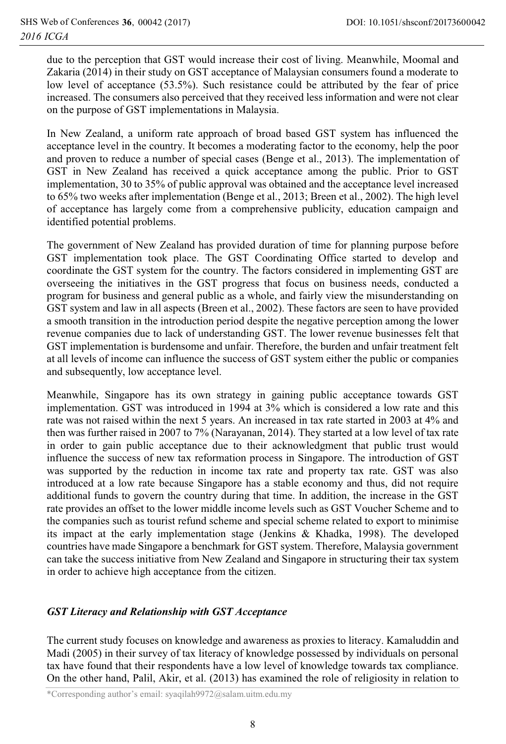due to the perception that GST would increase their cost of living. Meanwhile, Moomal and Zakaria (2014) in their study on GST acceptance of Malaysian consumers found a moderate to low level of acceptance (53.5%). Such resistance could be attributed by the fear of price increased. The consumers also perceived that they received less information and were not clear on the purpose of GST implementations in Malaysia.

In New Zealand, a uniform rate approach of broad based GST system has influenced the acceptance level in the country. It becomes a moderating factor to the economy, help the poor and proven to reduce a number of special cases (Benge et al., 2013). The implementation of GST in New Zealand has received a quick acceptance among the public. Prior to GST implementation, 30 to 35% of public approval was obtained and the acceptance level increased to 65% two weeks after implementation (Benge et al., 2013; Breen et al., 2002). The high level of acceptance has largely come from a comprehensive publicity, education campaign and identified potential problems.

The government of New Zealand has provided duration of time for planning purpose before GST implementation took place. The GST Coordinating Office started to develop and coordinate the GST system for the country. The factors considered in implementing GST are overseeing the initiatives in the GST progress that focus on business needs, conducted a program for business and general public as a whole, and fairly view the misunderstanding on GST system and law in all aspects (Breen et al., 2002). These factors are seen to have provided a smooth transition in the introduction period despite the negative perception among the lower revenue companies due to lack of understanding GST. The lower revenue businesses felt that GST implementation is burdensome and unfair. Therefore, the burden and unfair treatment felt at all levels of income can influence the success of GST system either the public or companies and subsequently, low acceptance level.

Meanwhile, Singapore has its own strategy in gaining public acceptance towards GST implementation. GST was introduced in 1994 at 3% which is considered a low rate and this rate was not raised within the next 5 years. An increased in tax rate started in 2003 at 4% and then was further raised in 2007 to 7% (Narayanan, 2014). They started at a low level of tax rate in order to gain public acceptance due to their acknowledgment that public trust would influence the success of new tax reformation process in Singapore. The introduction of GST was supported by the reduction in income tax rate and property tax rate. GST was also introduced at a low rate because Singapore has a stable economy and thus, did not require additional funds to govern the country during that time. In addition, the increase in the GST rate provides an offset to the lower middle income levels such as GST Voucher Scheme and to the companies such as tourist refund scheme and special scheme related to export to minimise its impact at the early implementation stage (Jenkins & Khadka, 1998). The developed countries have made Singapore a benchmark for GST system. Therefore, Malaysia government can take the success initiative from New Zealand and Singapore in structuring their tax system in order to achieve high acceptance from the citizen.

# *GST Literacy and Relationship with GST Acceptance*

The current study focuses on knowledge and awareness as proxies to literacy. Kamaluddin and Madi (2005) in their survey of tax literacy of knowledge possessed by individuals on personal tax have found that their respondents have a low level of knowledge towards tax compliance. On the other hand, Palil, Akir, et al. (2013) has examined the role of religiosity in relation to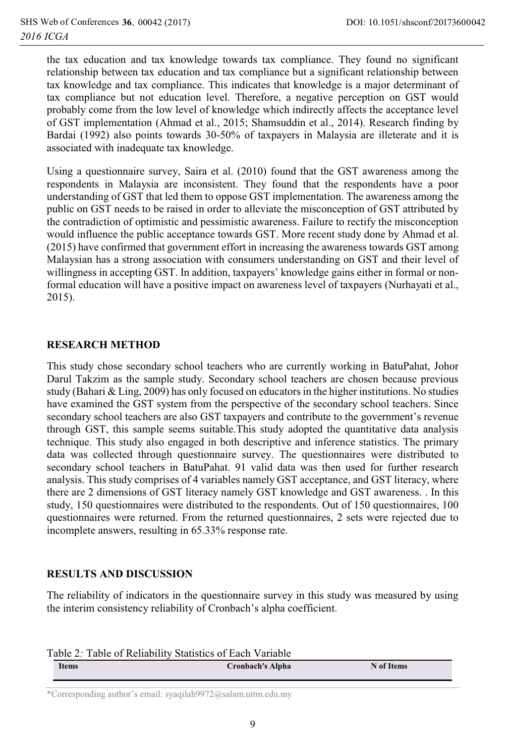the tax education and tax knowledge towards tax compliance. They found no significant relationship between tax education and tax compliance but a significant relationship between tax knowledge and tax compliance. This indicates that knowledge is a major determinant of tax compliance but not education level. Therefore, a negative perception on GST would probably come from the low level of knowledge which indirectly affects the acceptance level of GST implementation (Ahmad et al., 2015; Shamsuddin et al., 2014). Research finding by Bardai (1992) also points towards 30-50% of taxpayers in Malaysia are illeterate and it is associated with inadequate tax knowledge.

Using a questionnaire survey, Saira et al. (2010) found that the GST awareness among the respondents in Malaysia are inconsistent. They found that the respondents have a poor understanding of GST that led them to oppose GST implementation. The awareness among the public on GST needs to be raised in order to alleviate the misconception of GST attributed by the contradiction of optimistic and pessimistic awareness. Failure to rectify the misconception would influence the public acceptance towards GST. More recent study done by Ahmad et al. (2015) have confirmed that government effort in increasing the awareness towards GST among Malaysian has a strong association with consumers understanding on GST and their level of willingness in accepting GST. In addition, taxpayers' knowledge gains either in formal or nonformal education will have a positive impact on awareness level of taxpayers (Nurhayati et al., 2015).

#### **RESEARCH METHOD**

This study chose secondary school teachers who are currently working in BatuPahat, Johor Darul Takzim as the sample study. Secondary school teachers are chosen because previous study (Bahari & Ling, 2009) has only focused on educators in the higher institutions. No studies have examined the GST system from the perspective of the secondary school teachers. Since secondary school teachers are also GST taxpayers and contribute to the government's revenue through GST, this sample seems suitable.This study adopted the quantitative data analysis technique. This study also engaged in both descriptive and inference statistics. The primary data was collected through questionnaire survey. The questionnaires were distributed to secondary school teachers in BatuPahat. 91 valid data was then used for further research analysis. This study comprises of 4 variables namely GST acceptance, and GST literacy, where there are 2 dimensions of GST literacy namely GST knowledge and GST awareness. . In this study, 150 questionnaires were distributed to the respondents. Out of 150 questionnaires, 100 questionnaires were returned. From the returned questionnaires, 2 sets were rejected due to incomplete answers, resulting in 65.33% response rate.

# **RESULTS AND DISCUSSION**

The reliability of indicators in the questionnaire survey in this study was measured by using the interim consistency reliability of Cronbach's alpha coefficient.

| <b>Items</b> | Cronbach's Alpha | N of Items |
|--------------|------------------|------------|
|              |                  |            |
|              |                  |            |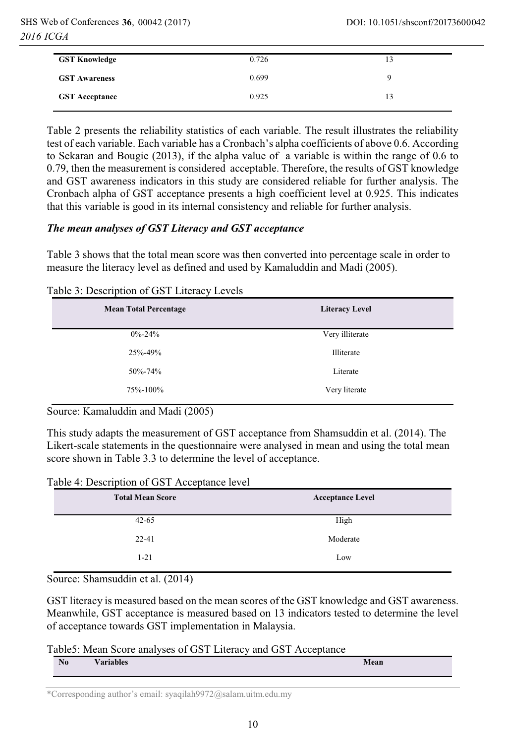| <b>GST Knowledge</b>  | 0.726 |    |
|-----------------------|-------|----|
| <b>GST Awareness</b>  | 0.699 | Q  |
| <b>GST</b> Acceptance | 0.925 | 13 |

Table 2 presents the reliability statistics of each variable. The result illustrates the reliability test of each variable. Each variable has a Cronbach's alpha coefficients of above 0.6. According to Sekaran and Bougie (2013), if the alpha value of a variable is within the range of 0.6 to 0.79, then the measurement is considered acceptable. Therefore, the results of GST knowledge and GST awareness indicators in this study are considered reliable for further analysis. The Cronbach alpha of GST acceptance presents a high coefficient level at 0.925. This indicates that this variable is good in its internal consistency and reliable for further analysis.

# *The mean analyses of GST Literacy and GST acceptance*

Table 3 shows that the total mean score was then converted into percentage scale in order to measure the literacy level as defined and used by Kamaluddin and Madi (2005).

# Table 3: Description of GST Literacy Levels

| <b>Mean Total Percentage</b> | <b>Literacy Level</b> |
|------------------------------|-----------------------|
| $0\% - 24\%$                 | Very illiterate       |
| 25%-49%                      | Illiterate            |
| $50\% - 74\%$                | Literate              |
| 75%-100%                     | Very literate         |

# Source: Kamaluddin and Madi (2005)

This study adapts the measurement of GST acceptance from Shamsuddin et al. (2014). The Likert-scale statements in the questionnaire were analysed in mean and using the total mean score shown in Table 3.3 to determine the level of acceptance.

# Table 4: Description of GST Acceptance level

| <b>Total Mean Score</b> | <b>Acceptance Level</b> |
|-------------------------|-------------------------|
| $42 - 65$               | High                    |
| $22 - 41$               | Moderate                |
| $1 - 21$                | Low                     |

# Source: Shamsuddin et al. (2014)

GST literacy is measured based on the mean scores of the GST knowledge and GST awareness. Meanwhile, GST acceptance is measured based on 13 indicators tested to determine the level of acceptance towards GST implementation in Malaysia.

# Table5: Mean Score analyses of GST Literacy and GST Acceptance

| N <sub>0</sub> | ariables<br>T | Mean |
|----------------|---------------|------|
|                |               |      |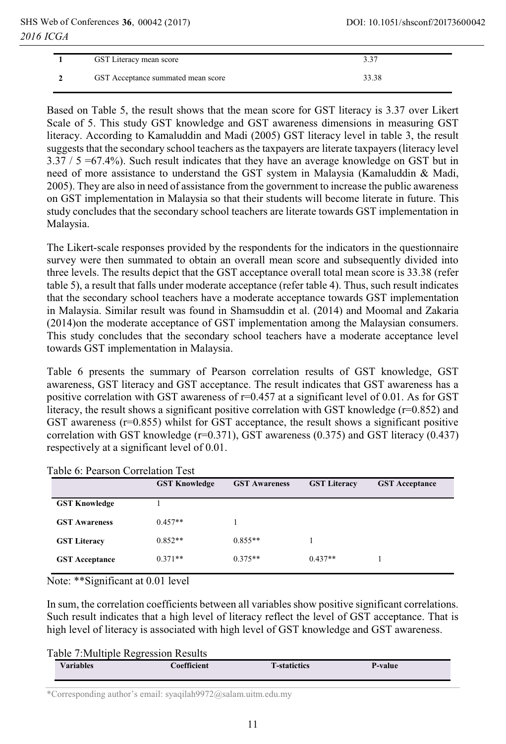| GST Literacy mean score            | 3.37  |
|------------------------------------|-------|
| GST Acceptance summated mean score | 33.38 |

Based on Table 5, the result shows that the mean score for GST literacy is 3.37 over Likert Scale of 5. This study GST knowledge and GST awareness dimensions in measuring GST literacy. According to Kamaluddin and Madi (2005) GST literacy level in table 3, the result suggests that the secondary school teachers as the taxpayers are literate taxpayers (literacy level 3.37 / 5 =67.4%). Such result indicates that they have an average knowledge on GST but in need of more assistance to understand the GST system in Malaysia (Kamaluddin & Madi, 2005). They are also in need of assistance from the government to increase the public awareness on GST implementation in Malaysia so that their students will become literate in future. This study concludes that the secondary school teachers are literate towards GST implementation in Malaysia.

The Likert-scale responses provided by the respondents for the indicators in the questionnaire survey were then summated to obtain an overall mean score and subsequently divided into three levels. The results depict that the GST acceptance overall total mean score is 33.38 (refer table 5), a result that falls under moderate acceptance (refer table 4). Thus, such result indicates that the secondary school teachers have a moderate acceptance towards GST implementation in Malaysia. Similar result was found in Shamsuddin et al. (2014) and Moomal and Zakaria (2014)on the moderate acceptance of GST implementation among the Malaysian consumers. This study concludes that the secondary school teachers have a moderate acceptance level towards GST implementation in Malaysia.

Table 6 presents the summary of Pearson correlation results of GST knowledge, GST awareness, GST literacy and GST acceptance. The result indicates that GST awareness has a positive correlation with GST awareness of r=0.457 at a significant level of 0.01. As for GST literacy, the result shows a significant positive correlation with GST knowledge (r=0.852) and GST awareness  $(r=0.855)$  whilst for GST acceptance, the result shows a significant positive correlation with GST knowledge ( $r=0.371$ ), GST awareness (0.375) and GST literacy (0.437) respectively at a significant level of 0.01.

|                       | <b>GST Knowledge</b> | <b>GST Awareness</b> | <b>GST Literacy</b> | <b>GST</b> Acceptance |
|-----------------------|----------------------|----------------------|---------------------|-----------------------|
| <b>GST Knowledge</b>  |                      |                      |                     |                       |
| <b>GST Awareness</b>  | $0.457**$            |                      |                     |                       |
| <b>GST Literacy</b>   | $0.852**$            | $0.855**$            |                     |                       |
| <b>GST</b> Acceptance | $0.371**$            | $0.375**$            | $0.437**$           |                       |

Table 6: Pearson Correlation Test

Note: \*\*Significant at 0.01 level

In sum, the correlation coefficients between all variables show positive significant correlations. Such result indicates that a high level of literacy reflect the level of GST acceptance. That is high level of literacy is associated with high level of GST knowledge and GST awareness.

| $\mathbf{v}_\text{ariable}$<br><i>c</i> oefficient<br>`-statictics<br>$\sim$ | ?-value |
|------------------------------------------------------------------------------|---------|
|------------------------------------------------------------------------------|---------|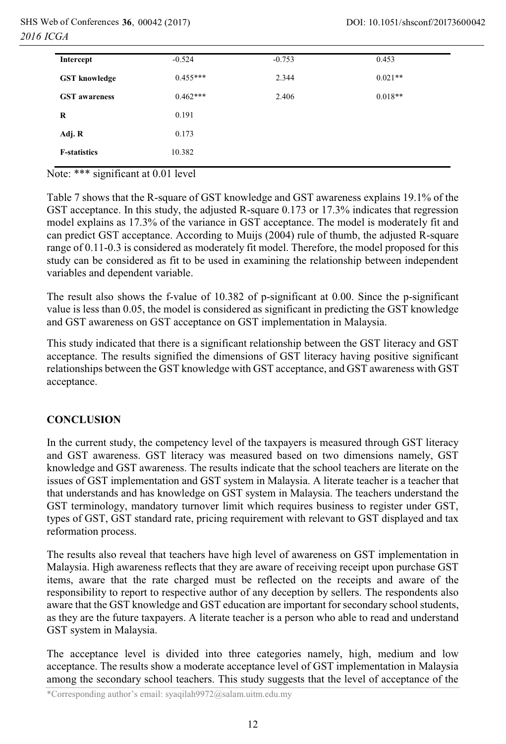| Intercept            | $-0.524$   | $-0.753$ | 0.453     |
|----------------------|------------|----------|-----------|
| <b>GST</b> knowledge | $0.455***$ | 2.344    | $0.021**$ |
| <b>GST</b> awareness | $0.462***$ | 2.406    | $0.018**$ |
| R                    | 0.191      |          |           |
| Adj. R               | 0.173      |          |           |
| <b>F-statistics</b>  | 10.382     |          |           |

Note: \*\*\* significant at 0.01 level

Table 7 shows that the R-square of GST knowledge and GST awareness explains 19.1% of the GST acceptance. In this study, the adjusted R-square 0.173 or 17.3% indicates that regression model explains as 17.3% of the variance in GST acceptance. The model is moderately fit and can predict GST acceptance. According to Muijs (2004) rule of thumb, the adjusted R-square range of 0.11-0.3 is considered as moderately fit model. Therefore, the model proposed for this study can be considered as fit to be used in examining the relationship between independent variables and dependent variable.

The result also shows the f-value of 10.382 of p-significant at 0.00. Since the p-significant value is less than 0.05, the model is considered as significant in predicting the GST knowledge and GST awareness on GST acceptance on GST implementation in Malaysia.

This study indicated that there is a significant relationship between the GST literacy and GST acceptance. The results signified the dimensions of GST literacy having positive significant relationships between the GST knowledge with GST acceptance, and GST awareness with GST acceptance.

# **CONCLUSION**

In the current study, the competency level of the taxpayers is measured through GST literacy and GST awareness. GST literacy was measured based on two dimensions namely, GST knowledge and GST awareness. The results indicate that the school teachers are literate on the issues of GST implementation and GST system in Malaysia. A literate teacher is a teacher that that understands and has knowledge on GST system in Malaysia. The teachers understand the GST terminology, mandatory turnover limit which requires business to register under GST, types of GST, GST standard rate, pricing requirement with relevant to GST displayed and tax reformation process.

The results also reveal that teachers have high level of awareness on GST implementation in Malaysia. High awareness reflects that they are aware of receiving receipt upon purchase GST items, aware that the rate charged must be reflected on the receipts and aware of the responsibility to report to respective author of any deception by sellers. The respondents also aware that the GST knowledge and GST education are important for secondary school students, as they are the future taxpayers. A literate teacher is a person who able to read and understand GST system in Malaysia.

The acceptance level is divided into three categories namely, high, medium and low acceptance. The results show a moderate acceptance level of GST implementation in Malaysia among the secondary school teachers. This study suggests that the level of acceptance of the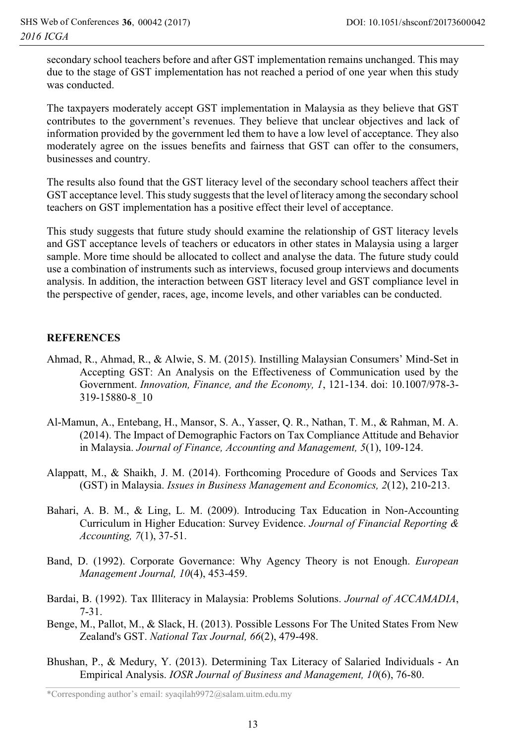secondary school teachers before and after GST implementation remains unchanged. This may due to the stage of GST implementation has not reached a period of one year when this study was conducted.

The taxpayers moderately accept GST implementation in Malaysia as they believe that GST contributes to the government's revenues. They believe that unclear objectives and lack of information provided by the government led them to have a low level of acceptance. They also moderately agree on the issues benefits and fairness that GST can offer to the consumers, businesses and country.

The results also found that the GST literacy level of the secondary school teachers affect their GST acceptance level. This study suggests that the level of literacy among the secondary school teachers on GST implementation has a positive effect their level of acceptance.

This study suggests that future study should examine the relationship of GST literacy levels and GST acceptance levels of teachers or educators in other states in Malaysia using a larger sample. More time should be allocated to collect and analyse the data. The future study could use a combination of instruments such as interviews, focused group interviews and documents analysis. In addition, the interaction between GST literacy level and GST compliance level in the perspective of gender, races, age, income levels, and other variables can be conducted.

# **REFERENCES**

- Ahmad, R., Ahmad, R., & Alwie, S. M. (2015). Instilling Malaysian Consumers' Mind-Set in Accepting GST: An Analysis on the Effectiveness of Communication used by the Government. *Innovation, Finance, and the Economy, 1*, 121-134. doi: 10.1007/978-3- 319-15880-8\_10
- Al-Mamun, A., Entebang, H., Mansor, S. A., Yasser, Q. R., Nathan, T. M., & Rahman, M. A. (2014). The Impact of Demographic Factors on Tax Compliance Attitude and Behavior in Malaysia. *Journal of Finance, Accounting and Management, 5*(1), 109-124.
- Alappatt, M., & Shaikh, J. M. (2014). Forthcoming Procedure of Goods and Services Tax (GST) in Malaysia. *Issues in Business Management and Economics, 2*(12), 210-213.
- Bahari, A. B. M., & Ling, L. M. (2009). Introducing Tax Education in Non-Accounting Curriculum in Higher Education: Survey Evidence. *Journal of Financial Reporting & Accounting, 7*(1), 37-51.
- Band, D. (1992). Corporate Governance: Why Agency Theory is not Enough. *European Management Journal, 10*(4), 453-459.
- Bardai, B. (1992). Tax Illiteracy in Malaysia: Problems Solutions. *Journal of ACCAMADIA*, 7-31.
- Benge, M., Pallot, M., & Slack, H. (2013). Possible Lessons For The United States From New Zealand's GST. *National Tax Journal, 66*(2), 479-498.
- Bhushan, P., & Medury, Y. (2013). Determining Tax Literacy of Salaried Individuals An Empirical Analysis. *IOSR Journal of Business and Management, 10*(6), 76-80.

<sup>\*</sup>Corresponding author's email: syaqilah9972@salam.uitm.edu.my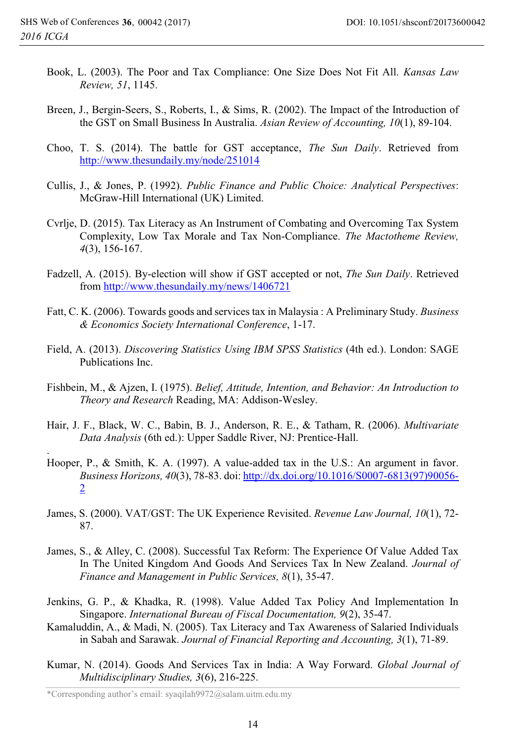.

- Book, L. (2003). The Poor and Tax Compliance: One Size Does Not Fit All. *Kansas Law Review, 51*, 1145.
- Breen, J., Bergin-Seers, S., Roberts, I., & Sims, R. (2002). The Impact of the Introduction of the GST on Small Business In Australia. *Asian Review of Accounting, 10*(1), 89-104.
- Choo, T. S. (2014). The battle for GST acceptance, *The Sun Daily*. Retrieved from http://www.thesundaily.my/node/251014
- Cullis, J., & Jones, P. (1992). *Public Finance and Public Choice: Analytical Perspectives*: McGraw-Hill International (UK) Limited.
- Cvrlje, D. (2015). Tax Literacy as An Instrument of Combating and Overcoming Tax System Complexity, Low Tax Morale and Tax Non-Compliance. *The Mactotheme Review, 4*(3), 156-167.
- Fadzell, A. (2015). By-election will show if GST accepted or not, *The Sun Daily*. Retrieved from http://www.thesundaily.my/news/1406721
- Fatt, C. K. (2006). Towards goods and services tax in Malaysia : A Preliminary Study. *Business & Economics Society International Conference*, 1-17.
- Field, A. (2013). *Discovering Statistics Using IBM SPSS Statistics* (4th ed.). London: SAGE Publications Inc.
- Fishbein, M., & Ajzen, I. (1975). *Belief, Attitude, Intention, and Behavior: An Introduction to Theory and Research* Reading, MA: Addison-Wesley.
- Hair, J. F., Black, W. C., Babin, B. J., Anderson, R. E., & Tatham, R. (2006). *Multivariate Data Analysis* (6th ed.): Upper Saddle River, NJ: Prentice-Hall.
- Hooper, P., & Smith, K. A. (1997). A value-added tax in the U.S.: An argument in favor. *Business Horizons, 40*(3), 78-83. doi: http://dx.doi.org/10.1016/S0007-6813(97)90056- 2
- James, S. (2000). VAT/GST: The UK Experience Revisited. *Revenue Law Journal, 10*(1), 72- 87.
- James, S., & Alley, C. (2008). Successful Tax Reform: The Experience Of Value Added Tax In The United Kingdom And Goods And Services Tax In New Zealand. *Journal of Finance and Management in Public Services, 8*(1), 35-47.
- Jenkins, G. P., & Khadka, R. (1998). Value Added Tax Policy And Implementation In Singapore. *International Bureau of Fiscal Documentation, 9*(2), 35-47.
- Kamaluddin, A., & Madi, N. (2005). Tax Literacy and Tax Awareness of Salaried Individuals in Sabah and Sarawak. *Journal of Financial Reporting and Accounting, 3*(1), 71-89.
- Kumar, N. (2014). Goods And Services Tax in India: A Way Forward. *Global Journal of Multidisciplinary Studies, 3*(6), 216-225.

<sup>\*</sup>Corresponding author's email: syaqilah9972@salam.uitm.edu.my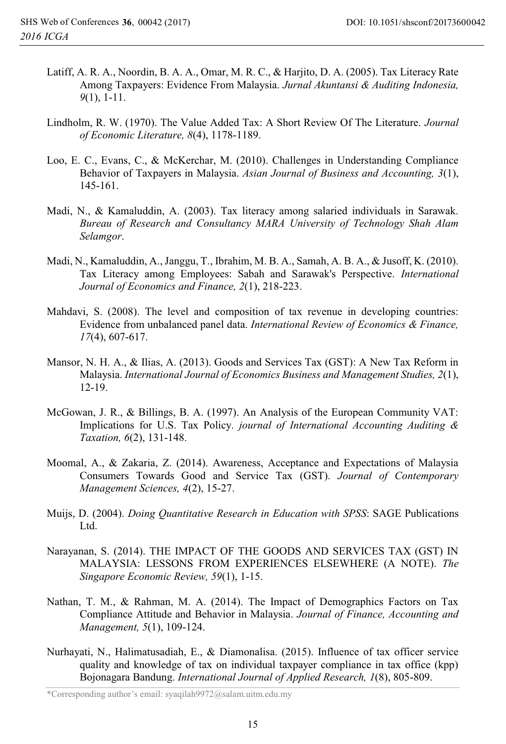- Latiff, A. R. A., Noordin, B. A. A., Omar, M. R. C., & Harjito, D. A. (2005). Tax Literacy Rate Among Taxpayers: Evidence From Malaysia. *Jurnal Akuntansi & Auditing Indonesia, 9*(1), 1-11.
- Lindholm, R. W. (1970). The Value Added Tax: A Short Review Of The Literature. *Journal of Economic Literature, 8*(4), 1178-1189.
- Loo, E. C., Evans, C., & McKerchar, M. (2010). Challenges in Understanding Compliance Behavior of Taxpayers in Malaysia. *Asian Journal of Business and Accounting, 3*(1), 145-161.
- Madi, N., & Kamaluddin, A. (2003). Tax literacy among salaried individuals in Sarawak. *Bureau of Research and Consultancy MARA University of Technology Shah Alam Selamgor*.
- Madi, N., Kamaluddin, A., Janggu, T., Ibrahim, M. B. A., Samah, A. B. A., & Jusoff, K. (2010). Tax Literacy among Employees: Sabah and Sarawak's Perspective. *International Journal of Economics and Finance, 2*(1), 218-223.
- Mahdavi, S. (2008). The level and composition of tax revenue in developing countries: Evidence from unbalanced panel data. *International Review of Economics & Finance, 17*(4), 607-617.
- Mansor, N. H. A., & Ilias, A. (2013). Goods and Services Tax (GST): A New Tax Reform in Malaysia. *International Journal of Economics Business and Management Studies, 2*(1), 12-19.
- McGowan, J. R., & Billings, B. A. (1997). An Analysis of the European Community VAT: Implications for U.S. Tax Policy. *journal of International Accounting Auditing & Taxation, 6*(2), 131-148.
- Moomal, A., & Zakaria, Z. (2014). Awareness, Acceptance and Expectations of Malaysia Consumers Towards Good and Service Tax (GST). *Journal of Contemporary Management Sciences, 4*(2), 15-27.
- Muijs, D. (2004). *Doing Quantitative Research in Education with SPSS*: SAGE Publications Ltd.
- Narayanan, S. (2014). THE IMPACT OF THE GOODS AND SERVICES TAX (GST) IN MALAYSIA: LESSONS FROM EXPERIENCES ELSEWHERE (A NOTE). *The Singapore Economic Review, 59*(1), 1-15.
- Nathan, T. M., & Rahman, M. A. (2014). The Impact of Demographics Factors on Tax Compliance Attitude and Behavior in Malaysia. *Journal of Finance, Accounting and Management, 5*(1), 109-124.
- Nurhayati, N., Halimatusadiah, E., & Diamonalisa. (2015). Influence of tax officer service quality and knowledge of tax on individual taxpayer compliance in tax office (kpp) Bojonagara Bandung. *International Journal of Applied Research, 1*(8), 805-809.

<sup>\*</sup>Corresponding author's email: syaqilah9972@salam.uitm.edu.my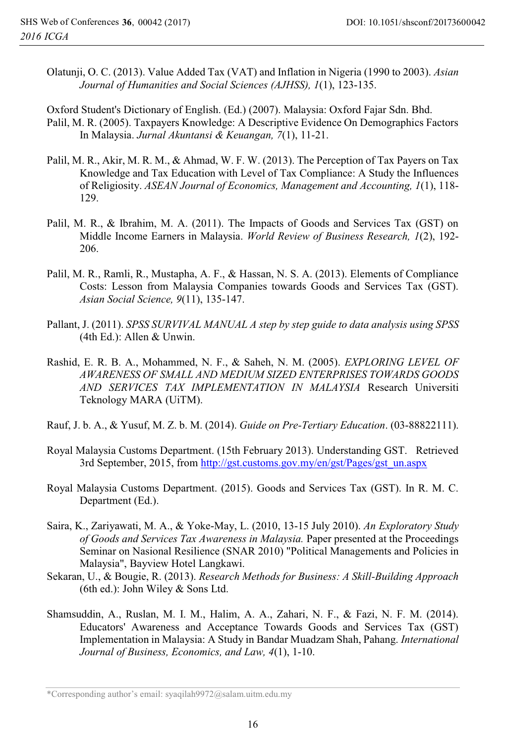Olatunji, O. C. (2013). Value Added Tax (VAT) and Inflation in Nigeria (1990 to 2003). *Asian Journal of Humanities and Social Sciences (AJHSS), 1*(1), 123-135.

Oxford Student's Dictionary of English. (Ed.) (2007). Malaysia: Oxford Fajar Sdn. Bhd. Palil, M. R. (2005). Taxpayers Knowledge: A Descriptive Evidence On Demographics Factors In Malaysia. *Jurnal Akuntansi & Keuangan, 7*(1), 11-21.

- Palil, M. R., Akir, M. R. M., & Ahmad, W. F. W. (2013). The Perception of Tax Payers on Tax Knowledge and Tax Education with Level of Tax Compliance: A Study the Influences of Religiosity. *ASEAN Journal of Economics, Management and Accounting, 1*(1), 118- 129.
- Palil, M. R., & Ibrahim, M. A. (2011). The Impacts of Goods and Services Tax (GST) on Middle Income Earners in Malaysia. *World Review of Business Research, 1*(2), 192- 206.
- Palil, M. R., Ramli, R., Mustapha, A. F., & Hassan, N. S. A. (2013). Elements of Compliance Costs: Lesson from Malaysia Companies towards Goods and Services Tax (GST). *Asian Social Science, 9*(11), 135-147.
- Pallant, J. (2011). *SPSS SURVIVAL MANUAL A step by step guide to data analysis using SPSS* (4th Ed.): Allen & Unwin.
- Rashid, E. R. B. A., Mohammed, N. F., & Saheh, N. M. (2005). *EXPLORING LEVEL OF AWARENESS OF SMALL AND MEDIUM SIZED ENTERPRISES TOWARDS GOODS AND SERVICES TAX IMPLEMENTATION IN MALAYSIA* Research Universiti Teknology MARA (UiTM).
- Rauf, J. b. A., & Yusuf, M. Z. b. M. (2014). *Guide on Pre-Tertiary Education*. (03-88822111).
- Royal Malaysia Customs Department. (15th February 2013). Understanding GST. Retrieved 3rd September, 2015, from http://gst.customs.gov.my/en/gst/Pages/gst\_un.aspx
- Royal Malaysia Customs Department. (2015). Goods and Services Tax (GST). In R. M. C. Department (Ed.).
- Saira, K., Zariyawati, M. A., & Yoke-May, L. (2010, 13-15 July 2010). *An Exploratory Study of Goods and Services Tax Awareness in Malaysia.* Paper presented at the Proceedings Seminar on Nasional Resilience (SNAR 2010) "Political Managements and Policies in Malaysia", Bayview Hotel Langkawi.
- Sekaran, U., & Bougie, R. (2013). *Research Methods for Business: A Skill-Building Approach* (6th ed.): John Wiley & Sons Ltd.
- Shamsuddin, A., Ruslan, M. I. M., Halim, A. A., Zahari, N. F., & Fazi, N. F. M. (2014). Educators' Awareness and Acceptance Towards Goods and Services Tax (GST) Implementation in Malaysia: A Study in Bandar Muadzam Shah, Pahang. *International Journal of Business, Economics, and Law, 4*(1), 1-10.

<sup>\*</sup>Corresponding author's email: syaqilah9972@salam.uitm.edu.my